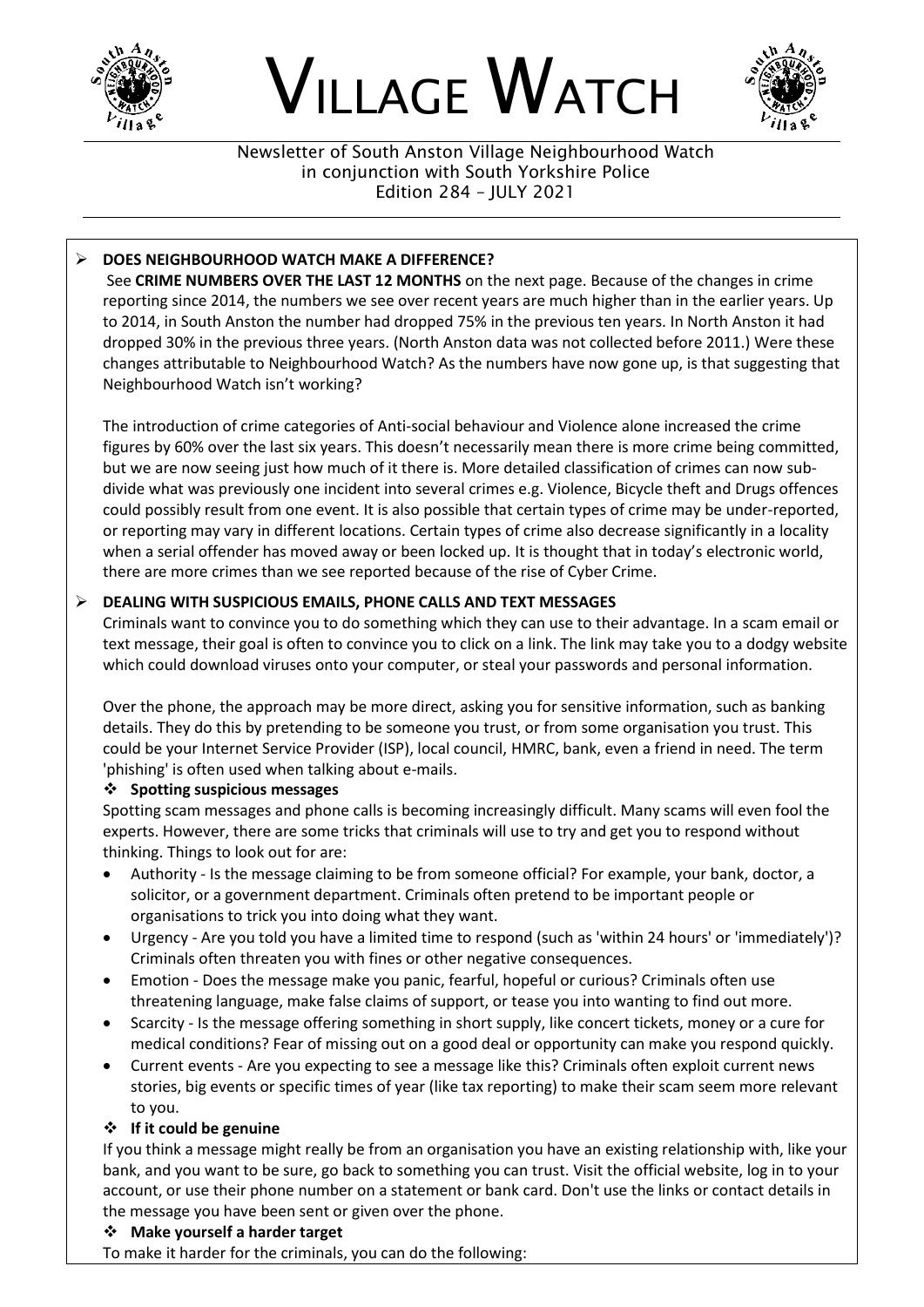

# VILLAGE WATCH



Newsletter of South Anston Village Neighbourhood Watch in conjunction with South Yorkshire Police Edition 284 – JULY 2021

# ➢ **DOES NEIGHBOURHOOD WATCH MAKE A DIFFERENCE?**

See **CRIME NUMBERS OVER THE LAST 12 MONTHS** on the next page. Because of the changes in crime reporting since 2014, the numbers we see over recent years are much higher than in the earlier years. Up to 2014, in South Anston the number had dropped 75% in the previous ten years. In North Anston it had dropped 30% in the previous three years. (North Anston data was not collected before 2011.) Were these changes attributable to Neighbourhood Watch? As the numbers have now gone up, is that suggesting that Neighbourhood Watch isn't working?

The introduction of crime categories of Anti-social behaviour and Violence alone increased the crime figures by 60% over the last six years. This doesn't necessarily mean there is more crime being committed, but we are now seeing just how much of it there is. More detailed classification of crimes can now subdivide what was previously one incident into several crimes e.g. Violence, Bicycle theft and Drugs offences could possibly result from one event. It is also possible that certain types of crime may be under-reported, or reporting may vary in different locations. Certain types of crime also decrease significantly in a locality when a serial offender has moved away or been locked up. It is thought that in today's electronic world, there are more crimes than we see reported because of the rise of Cyber Crime.

### ➢ **DEALING WITH SUSPICIOUS EMAILS, PHONE CALLS AND TEXT MESSAGES**

Criminals want to convince you to do something which they can use to their advantage. In a scam email or text message, their goal is often to convince you to click on a link. The link may take you to a dodgy website which could download viruses onto your computer, or steal your passwords and personal information.

Over the phone, the approach may be more direct, asking you for sensitive information, such as banking details. They do this by pretending to be someone you trust, or from some organisation you trust. This could be your Internet Service Provider (ISP), local council, HMRC, bank, even a friend in need. The term 'phishing' is often used when talking about e-mails.

### ❖ **Spotting suspicious messages**

Spotting scam messages and phone calls is becoming increasingly difficult. Many scams will even fool the experts. However, there are some tricks that criminals will use to try and get you to respond without thinking. Things to look out for are:

- Authority Is the message claiming to be from someone official? For example, your bank, doctor, a solicitor, or a government department. Criminals often pretend to be important people or organisations to trick you into doing what they want.
- Urgency Are you told you have a limited time to respond (such as 'within 24 hours' or 'immediately')? Criminals often threaten you with fines or other negative consequences.
- Emotion Does the message make you panic, fearful, hopeful or curious? Criminals often use threatening language, make false claims of support, or tease you into wanting to find out more.
- Scarcity Is the message offering something in short supply, like concert tickets, money or a cure for medical conditions? Fear of missing out on a good deal or opportunity can make you respond quickly.
- Current events Are you expecting to see a message like this? Criminals often exploit current news stories, big events or specific times of year (like tax reporting) to make their scam seem more relevant to you.

### ❖ **If it could be genuine**

If you think a message might really be from an organisation you have an existing relationship with, like your bank, and you want to be sure, go back to something you can trust. Visit the official website, log in to your account, or use their phone number on a statement or bank card. Don't use the links or contact details in the message you have been sent or given over the phone.

### ❖ **Make yourself a harder target**

To make it harder for the criminals, you can do the following: